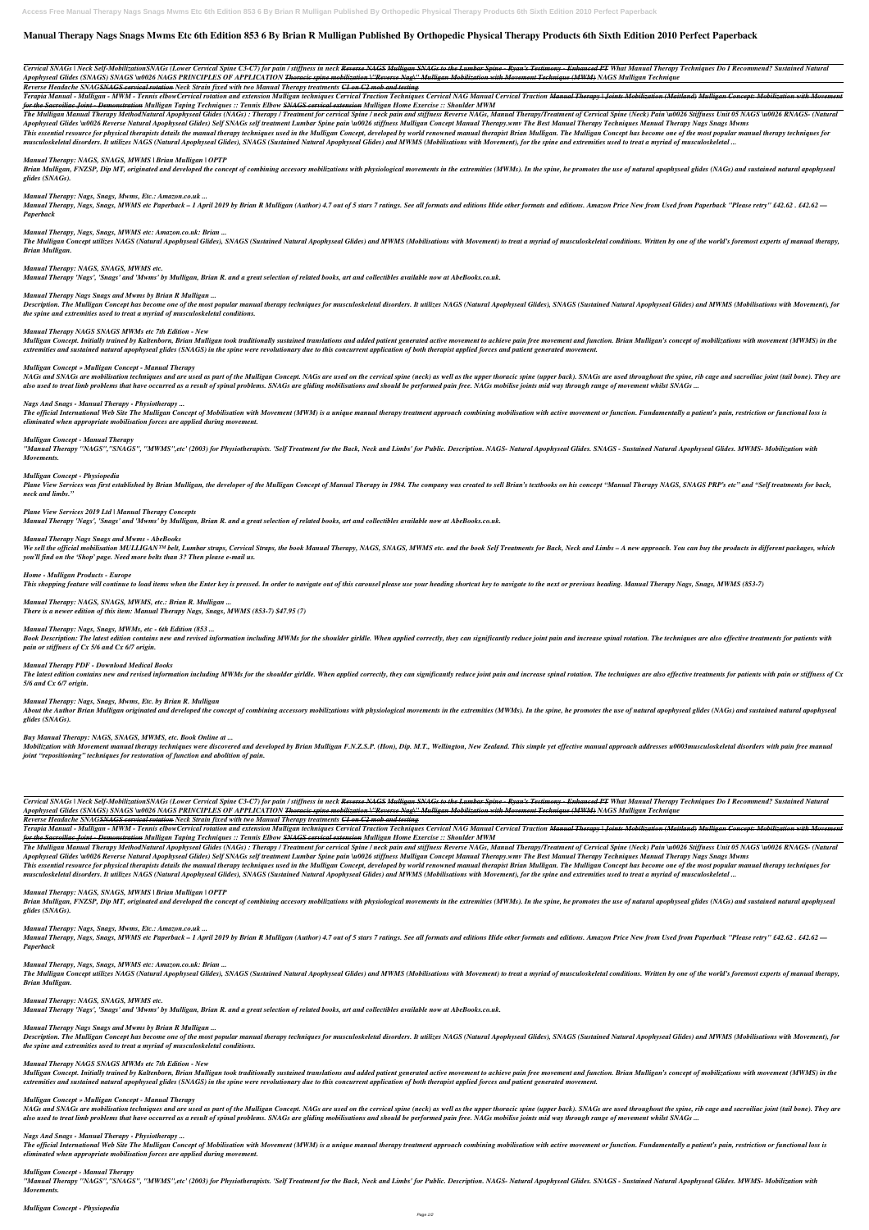# **Manual Therapy Nags Snags Mwms Etc 6th Edition 853 6 By Brian R Mulligan Published By Orthopedic Physical Therapy Products 6th Sixth Edition 2010 Perfect Paperback**

Cervical SNAGs | Neck Self-MobilizationSNAGs (Lower Cervical Spine C3-C7) for pain / stiffness in neck <del>Reverse NAGS Mulligan SNAGs to the Lumbar Spine - Ryan's Testimony - Enhanced PT</del> What Manual Therapy Techniques Do I *Apophyseal Glides (SNAGS) SNAGS \u0026 NAGS PRINCIPLES OF APPLICATION Thoracic spine mobilization \"Reverse Nag\" Mulligan Mobilization with Movement Technique (MWM) NAGS Mulligan Technique* 

Terapia Manual - Mulligan - MWM - Tennis elbowCervical rotation and extension Mulligan techniques Cervical Traction Techniques Cervical NAG Manual Cervical Traction <del>Manual Therapy | Joints Mobilization (Maitland)</del> M<del>ullig</del> *for the Sacroiliac Joint - Demonstration Mulligan Taping Techniques :: Tennis Elbow SNAGS cervical extension Mulligan Home Exercise :: Shoulder MWM*

The Mulligan Manual Therapy MethodNatural Apophyseal Glides (NAGs): Therapy / Treatment for cervical Spine / neck pain and stiffness Reverse NAGs, Manual Therapy/Treatment of Cervical Spine (Neck) Pain \u0026 Stiffness Uni Apophyseal Glides \u0026 Reverse Natural Apophyseal Glides) Self SNAGs self treatment Lumbar Spine pain \u0026 stiffness Mulligan Concept Manual Therapy.wmv The Best Manual Therapy Techniques Manual Therapy Nags Snags Mwms This essential resource for physical therapists details the manual therapy techniques used in the Mulligan Concept, developed by world renowned manual therapist Brian Mulligan. The Mulligan Concept has become one of the mo

musculoskeletal disorders. It utilizes NAGS (Natural Apophyseal Glides), SNAGS (Sustained Natural Apophyseal Glides) and MWMS (Mobilisations with Movement), for the spine and extremities used to treat a myriad of musculosk

*Reverse Headache SNAGSNAGS cervical rotation Neck Strain fixed with two Manual Therapy treatments C1 on C2 mob and testing*

Brian Mulligan, FNZSP, Dip MT, originated and developed the concept of combining accesory mobilizations with physiological movements in the extremities (MWMs). In the spine, he promotes the use of natural apophyseal glides *glides (SNAGs).*

Manual Therapy, Nags, Snags, MWMS etc Paperback – 1 April 2019 by Brian R Mulligan (Author) 4.7 out of 5 stars 7 ratings. See all formats and editions Hide other formats and editions. Amazon Price New from Used from Paperb *Paperback*

The Mulligan Concept utilizes NAGS (Natural Apophyseal Glides), SNAGS (Sustained Natural Apophyseal Glides) and MWMS (Mobilisations with Movement) to treat a myriad of musculoskeletal conditions. Written by one of the worl *Brian Mulligan.*

Description. The Mulligan Concept has become one of the most popular manual therapy techniques for musculoskeletal disorders. It utilizes NAGS (Natural Apophyseal Glides), SNAGS (Sustained Natural Apophyseal Glides) and MW *the spine and extremities used to treat a myriad of musculoskeletal conditions.*

Mulligan Concept. Initially trained by Kaltenborn, Brian Mulligan took traditionally sustained translations and added patient generated active movement to achieve pain free movement and function. Brian Mulligan's concept o *extremities and sustained natural apophyseal glides (SNAGS) in the spine were revolutionary due to this concurrent application of both therapist applied forces and patient generated movement.*

### *Manual Therapy: NAGS, SNAGS, MWMS | Brian Mulligan | OPTP*

*Manual Therapy: Nags, Snags, Mwms, Etc.: Amazon.co.uk ...*

The official International Web Site The Mulligan Concept of Mobilisation with Movement (MWM) is a unique manual therapy treatment approach combining mobilisation with active movement or function. Fundamentally a patient's *eliminated when appropriate mobilisation forces are applied during movement.*

"Manual Therapy "NAGS", "SNAGS", "MWMS",etc' (2003) for Physiotherapists. 'Self Treatment for the Back, Neck and Limbs' for Public. Description. NAGS- Natural Apophyseal Glides. SNAGS - Sustained Natural Apophyseal Glides. *Movements.*

Plane View Services was first established by Brian Mulligan, the developer of the Mulligan Concept of Manual Therapy in 1984. The company was created to sell Brian's textbooks on his concept "Manual Therapy NAGS, SNAGS PRP *neck and limbs."*

# *Manual Therapy, Nags, Snags, MWMS etc: Amazon.co.uk: Brian ...*

We sell the official mobilisation MULLIGANTM belt, Lumbar straps, Cervical Straps, the book Manual Therapy, NAGS, SNAGS, MWMS etc. and the book Self Treatments for Back, Neck and Limbs - A new approach. You can buy the pro *you'll find on the 'Shop' page. Need more belts than 3? Then please e-mail us.*

*Home - Mulligan Products - Europe* This shopping feature will continue to load items when the Enter key is pressed. In order to navigate out of this carousel please use your heading shortcut key to navigate to the next or previous heading. Manual Therapy Na

*Manual Therapy: NAGS, SNAGS, MWMS etc.*

*Manual Therapy 'Nags', 'Snags' and 'Mwms' by Mulligan, Brian R. and a great selection of related books, art and collectibles available now at AbeBooks.co.uk.*

*Manual Therapy Nags Snags and Mwms by Brian R Mulligan ...*

Book Description: The latest edition contains new and revised information including MWMs for the shoulder girldle. When applied correctly, they can significantly reduce joint pain and increase spinal rotation. The techniqu *pain or stiffness of Cx 5/6 and Cx 6/7 origin.*

The latest edition contains new and revised information including MWMs for the shoulder girldle. When applied correctly, they can significantly reduce joint pain and increase spinal rotation. The techniques are also effect *5/6 and Cx 6/7 origin.*

### *Manual Therapy NAGS SNAGS MWMs etc 7th Edition - New*

About the Author Brian Mulligan originated and developed the concept of combining accessory mobilizations with physiological movements in the extremities (MWMs). In the spine, he promotes the use of natural apophyseal glid *glides (SNAGs).*

Mobilization with Movement manual therapy techniques were discovered and developed by Brian Mulligan F.N.Z.S.P. (Hon), Dip. M.T., Wellington, New Zealand. This simple yet effective manual approach addresses u0003musculoske *joint "repositioning" techniques for restoration of function and abolition of pain.*

### *Mulligan Concept » Mulligan Concept - Manual Therapy*

NAGs and SNAGs are mobilisation techniques and are used as part of the Mulligan Concept. NAGs are used on the cervical spine (neck) as well as the upper thoracic spine (upper back). SNAGs are used throughout the spine, rib also used to treat limb problems that have occurred as a result of spinal problems. SNAGs are gliding mobilisations and should be performed pain free. NAGs mobilise joints mid way through range of movement whilst SNAGs ...

Cervical SNAGs | Neck Self-MobilizationSNAGs (Lower Cervical Spine C3-C7) for pain / stiffness in neck <del>Reverse NAGS Mulligan SNAGs to the Lumbar Spine - Ryan's Testimony - Enhanced PT</del> What Manual Therapy Techniques Do I *Apophyseal Glides (SNAGS) SNAGS \u0026 NAGS PRINCIPLES OF APPLICATION Thoracic spine mobilization \"Reverse Nag\" Mulligan Mobilization with Movement Technique (MWM) NAGS Mulligan Technique* 

Terapia Manual - Mulligan - MWM - Tennis elbowCervical rotation and extension Mulligan techniques Cervical Traction Techniques Cervical NAG Manual Cervical Traction <del>Manual Therapy | Joints Mobilization (Maitland)</del> M<del>ullig</del> *for the Sacroiliac Joint - Demonstration Mulligan Taping Techniques :: Tennis Elbow SNAGS cervical extension Mulligan Home Exercise :: Shoulder MWM*

The Mulligan Manual Therapy MethodNatural Apophyseal Glides (NAGs): Therapy / Treatment for cervical Spine / neck pain and stiffness Reverse NAGs, Manual Therapy/Treatment of Cervical Spine (Neck) Pain \u0026 Stiffness Uni Apophyseal Glides \u0026 Reverse Natural Apophyseal Glides) Self SNAGs self treatment Lumbar Spine pain \u0026 stiffness Mulligan Concept Manual Therapy.wmv The Best Manual Therapy Techniques Manual Therapy Nags Snags Mwms This essential resource for physical therapists details the manual therapy techniques used in the Mulligan Concept, developed by world renowned manual therapist Brian Mulligan. The Mulligan Concept has become one of the mo musculoskeletal disorders. It utilizes NAGS (Natural Apophyseal Glides), SNAGS (Sustained Natural Apophyseal Glides) and MWMS (Mobilisations with Movement), for the spine and extremities used to treat a myriad of musculosk

### *Nags And Snags - Manual Therapy - Physiotherapy ...*

### *Mulligan Concept - Manual Therapy*

Brian Mulligan, FNZSP, Dip MT, originated and developed the concept of combining accesory mobilizations with physiological movements in the extremities (MWMs). In the spine, he promotes the use of natural apophyseal glides *glides (SNAGs).*

Manual Therapy, Nags, Snags, MWMS etc Paperback – 1 April 2019 by Brian R Mulligan (Author) 4.7 out of 5 stars 7 ratings. See all formats and editions Hide other formats and editions. Amazon Price New from Used from Paperb *Paperback*

### *Mulligan Concept - Physiopedia*

The Mulligan Concept utilizes NAGS (Natural Apophyseal Glides), SNAGS (Sustained Natural Apophyseal Glides) and MWMS (Mobilisations with Movement) to treat a myriad of musculoskeletal conditions. Written by one of the worl *Brian Mulligan.*

Description. The Mulligan Concept has become one of the most popular manual therapy techniques for musculoskeletal disorders. It utilizes NAGS (Natural Apophyseal Glides), SNAGS (Sustained Natural Apophyseal Glides) and MW *the spine and extremities used to treat a myriad of musculoskeletal conditions.*

*Plane View Services 2019 Ltd | Manual Therapy Concepts Manual Therapy 'Nags', 'Snags' and 'Mwms' by Mulligan, Brian R. and a great selection of related books, art and collectibles available now at AbeBooks.co.uk.*

### *Manual Therapy Nags Snags and Mwms - AbeBooks*

Mulligan Concept. Initially trained by Kaltenborn, Brian Mulligan took traditionally sustained translations and added patient generated active movement to achieve pain free movement and function. Brian Mulligan's concept o *extremities and sustained natural apophyseal glides (SNAGS) in the spine were revolutionary due to this concurrent application of both therapist applied forces and patient generated movement.*

The official International Web Site The Mulligan Concept of Mobilisation with Movement (MWM) is a unique manual therapy treatment approach combining mobilisation with active movement or function. Fundamentally a patient's *eliminated when appropriate mobilisation forces are applied during movement.*

"Manual Therapy "NAGS", "SNAGS", "MWMS",etc' (2003) for Physiotherapists. 'Self Treatment for the Back, Neck and Limbs' for Public. Description. NAGS- Natural Apophyseal Glides. SNAGS - Sustained Natural Apophyseal Glides. *Movements.*

*Manual Therapy: NAGS, SNAGS, MWMS, etc.: Brian R. Mulligan ... There is a newer edition of this item: Manual Therapy Nags, Snags, MWMS (853-7) \$47.95 (7)*

*Manual Therapy: Nags, Snags, MWMs, etc - 6th Edition (853 ...*

*Manual Therapy PDF - Download Medical Books*

*Manual Therapy: Nags, Snags, Mwms, Etc. by Brian R. Mulligan*

*Buy Manual Therapy: NAGS, SNAGS, MWMS, etc. Book Online at ...*

*Reverse Headache SNAGSNAGS cervical rotation Neck Strain fixed with two Manual Therapy treatments C1 on C2 mob and testing*

*Manual Therapy: NAGS, SNAGS, MWMS | Brian Mulligan | OPTP*

#### *Manual Therapy: Nags, Snags, Mwms, Etc.: Amazon.co.uk ...*

### *Manual Therapy, Nags, Snags, MWMS etc: Amazon.co.uk: Brian ...*

# *Manual Therapy: NAGS, SNAGS, MWMS etc.*

*Manual Therapy 'Nags', 'Snags' and 'Mwms' by Mulligan, Brian R. and a great selection of related books, art and collectibles available now at AbeBooks.co.uk.*

### *Manual Therapy Nags Snags and Mwms by Brian R Mulligan ...*

### *Manual Therapy NAGS SNAGS MWMs etc 7th Edition - New*

### *Mulligan Concept » Mulligan Concept - Manual Therapy*

NAGs and SNAGs are mobilisation techniques and are used as part of the Mulligan Concept. NAGs are used on the cervical spine (neck) as well as the upper thoracic spine (upper back). SNAGs are used throughout the spine, rib also used to treat limb problems that have occurred as a result of spinal problems. SNAGs are gliding mobilisations and should be performed pain free. NAGs mobilise joints mid way through range of movement whilst SNAGs ...

### *Nags And Snags - Manual Therapy - Physiotherapy ...*

### *Mulligan Concept - Manual Therapy*

# *Mulligan Concept - Physiopedia*